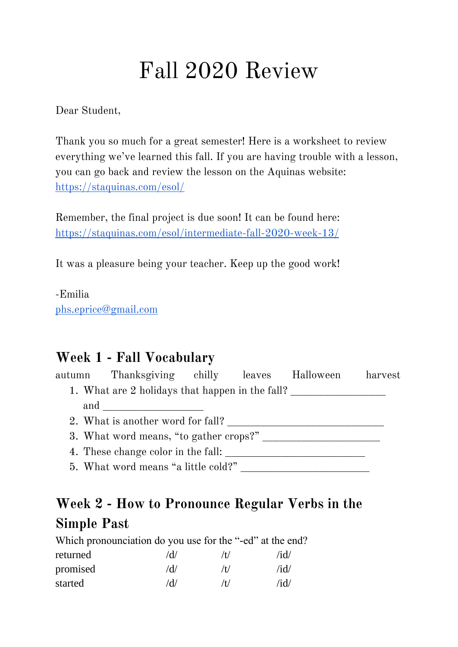# Fall 2020 Review

Dear Student,

Thank you so much for a great semester! Here is a worksheet to review everything we've learned this fall. If you are having trouble with a lesson, you can go back and review the lesson on the Aquinas website: <https://staquinas.com/esol/>

Remember, the final project is due soon! It can be found here: <https://staquinas.com/esol/intermediate-fall-2020-week-13/>

It was a pleasure being your teacher. Keep up the good work!

-Emilia [phs.eprice@gmail.com](mailto:phs.eprice@gmail.com)

### **Week 1 - Fall Vocabulary**

autumn Thanksgiving chilly leaves Halloween harvest 1. What are 2 holidays that happen in the fall? \_\_\_\_\_\_\_\_\_\_\_\_\_\_\_\_\_\_\_\_\_\_\_\_\_\_\_\_\_\_\_\_ and  $\Box$ 2. What is another word for fall? 3. What word means, "to gather crops?" \_\_\_\_\_\_\_\_\_\_\_\_\_\_\_\_\_\_\_\_\_

4. These change color in the fall: \_\_\_\_\_\_\_\_\_\_\_\_\_\_\_\_\_\_\_\_\_\_\_\_\_

5. What word means "a little cold?"

## **Week 2 - How to Pronounce Regular Verbs in the Simple Past**

| Which pronounciation do you use for the "-ed" at the end? |     |     |      |
|-----------------------------------------------------------|-----|-----|------|
| returned                                                  | /d/ | /t/ | /id/ |
| promised                                                  | /d/ | /t/ | /id/ |
| started                                                   | /d/ | /t/ | /id/ |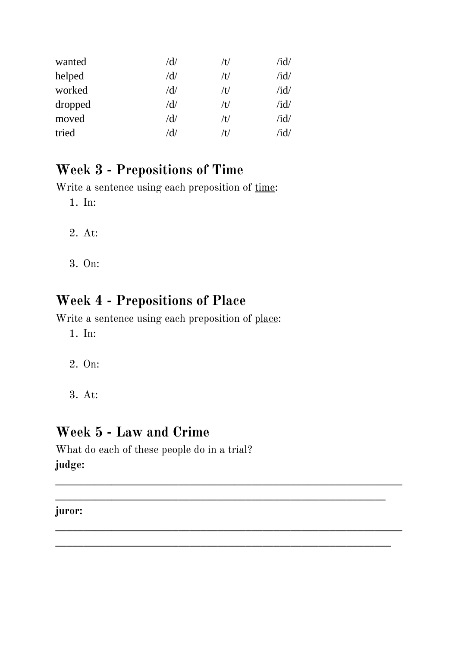| wanted  | $\rm\,/d/$            | /t/ | /id/ |
|---------|-----------------------|-----|------|
| helped  | /d/                   | /t/ | /id/ |
| worked  | /d/                   | /t/ | /id/ |
| dropped | /d/                   | /t/ | /id/ |
| moved   | /d/                   | /t/ | /id/ |
| tried   | $^{\prime}\mathrm{d}$ | /t/ | /id/ |

## **Week 3 - Prepositions of Time**

Write a sentence using each preposition of time:

1. In:

- 2. At:
- 3. On:

## **Week 4 - Prepositions of Place**

Write a sentence using each preposition of place:

1. In:

- 2. On:
- 3. At:

### **Week 5 - Law and Crime**

What do each of these people do in a trial? **judge:** 

**\_\_\_\_\_\_\_\_\_\_\_\_\_\_\_\_\_\_\_\_\_\_\_\_\_\_\_\_\_\_\_\_\_\_\_\_\_\_\_\_\_\_\_\_\_\_\_\_\_\_\_\_\_\_\_\_\_\_\_\_\_\_**

**\_\_\_\_\_\_\_\_\_\_\_\_\_\_\_\_\_\_\_\_\_\_\_\_\_\_\_\_\_\_\_\_\_\_\_\_\_\_\_\_\_\_\_\_\_\_\_\_\_\_\_\_\_\_\_\_\_\_\_\_\_\_**

**\_\_\_\_\_\_\_\_\_\_\_\_\_\_\_\_\_\_\_\_\_\_\_\_\_\_\_\_\_\_\_\_\_\_\_\_\_\_\_\_\_\_\_\_\_\_\_\_\_\_\_\_\_\_\_\_\_\_\_\_**

**\_\_\_\_\_\_\_\_\_\_\_\_\_\_\_\_\_\_\_\_\_\_\_\_\_\_\_\_\_\_\_\_\_\_\_\_\_\_\_\_\_\_\_\_\_\_\_\_\_\_\_\_\_\_\_\_\_\_\_**

#### **juror:**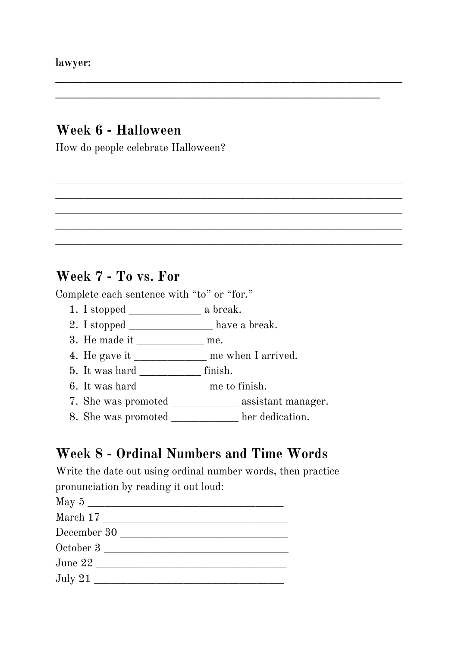#### **Week 6 - Halloween**

How do people celebrate Halloween?

#### **Week 7 - To vs. For**

Complete each sentence with "to" or "for."

- 1. I stopped \_\_\_\_\_\_\_\_\_\_\_\_\_ a break.
- 2. I stopped \_\_\_\_\_\_\_\_\_\_\_\_\_\_\_\_ have a break.
- 3. He made it \_\_\_\_\_\_\_\_\_\_\_\_ me.
- 4. He gave it \_\_\_\_\_\_\_\_\_\_\_\_\_ me when I arrived.
- 5. It was hard \_\_\_\_\_\_\_\_\_\_\_ finish.
- 6. It was hard \_\_\_\_\_\_\_\_\_\_\_\_\_\_ me to finish.
- 7. She was promoted \_\_\_\_\_\_\_\_\_\_\_\_ assistant manager.

**\_\_\_\_\_\_\_\_\_\_\_\_\_\_\_\_\_\_\_\_\_\_\_\_\_\_\_\_\_\_\_\_\_\_\_\_\_\_\_\_\_\_\_\_\_\_\_\_\_\_\_\_\_\_\_\_\_\_\_\_\_\_**

\_\_\_\_\_\_\_\_\_\_\_\_\_\_\_\_\_\_\_\_\_\_\_\_\_\_\_\_\_\_\_\_\_\_\_\_\_\_\_\_\_\_\_\_\_\_\_\_\_\_\_\_\_\_\_\_\_\_\_\_\_\_ \_\_\_\_\_\_\_\_\_\_\_\_\_\_\_\_\_\_\_\_\_\_\_\_\_\_\_\_\_\_\_\_\_\_\_\_\_\_\_\_\_\_\_\_\_\_\_\_\_\_\_\_\_\_\_\_\_\_\_\_\_\_ \_\_\_\_\_\_\_\_\_\_\_\_\_\_\_\_\_\_\_\_\_\_\_\_\_\_\_\_\_\_\_\_\_\_\_\_\_\_\_\_\_\_\_\_\_\_\_\_\_\_\_\_\_\_\_\_\_\_\_\_\_\_ \_\_\_\_\_\_\_\_\_\_\_\_\_\_\_\_\_\_\_\_\_\_\_\_\_\_\_\_\_\_\_\_\_\_\_\_\_\_\_\_\_\_\_\_\_\_\_\_\_\_\_\_\_\_\_\_\_\_\_\_\_\_ \_\_\_\_\_\_\_\_\_\_\_\_\_\_\_\_\_\_\_\_\_\_\_\_\_\_\_\_\_\_\_\_\_\_\_\_\_\_\_\_\_\_\_\_\_\_\_\_\_\_\_\_\_\_\_\_\_\_\_\_\_\_ \_\_\_\_\_\_\_\_\_\_\_\_\_\_\_\_\_\_\_\_\_\_\_\_\_\_\_\_\_\_\_\_\_\_\_\_\_\_\_\_\_\_\_\_\_\_\_\_\_\_\_\_\_\_\_\_\_\_\_\_\_\_

**\_\_\_\_\_\_\_\_\_\_\_\_\_\_\_\_\_\_\_\_\_\_\_\_\_\_\_\_\_\_\_\_\_\_\_\_\_\_\_\_\_\_\_\_\_\_\_\_\_\_\_\_\_\_\_\_\_\_**

8. She was promoted \_\_\_\_\_\_\_\_\_\_ her dedication.

#### **Week 8 - Ordinal Numbers and Time Words**

Write the date out using ordinal number words, then practice pronunciation by reading it out loud: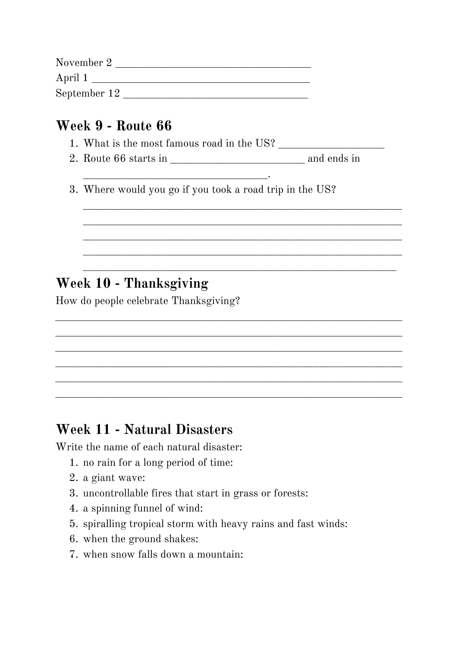| November 2   |  |
|--------------|--|
| April 1      |  |
| September 12 |  |

### **Week 9 - Route 66**

1. What is the most famous road in the US? \_\_\_\_\_\_\_\_\_\_\_\_\_\_\_\_\_\_\_

\_\_\_\_\_\_\_\_\_\_\_\_\_\_\_\_\_\_\_\_\_\_\_\_\_\_\_\_\_\_\_\_\_.

2. Route 66 starts in \_\_\_\_\_\_\_\_\_\_\_\_\_\_\_\_\_\_\_\_\_\_\_\_ and ends in

\_\_\_\_\_\_\_\_\_\_\_\_\_\_\_\_\_\_\_\_\_\_\_\_\_\_\_\_\_\_\_\_\_\_\_\_\_\_\_\_\_\_\_\_\_\_\_\_\_\_\_\_\_\_\_\_\_ \_\_\_\_\_\_\_\_\_\_\_\_\_\_\_\_\_\_\_\_\_\_\_\_\_\_\_\_\_\_\_\_\_\_\_\_\_\_\_\_\_\_\_\_\_\_\_\_\_\_\_\_\_\_\_\_\_ \_\_\_\_\_\_\_\_\_\_\_\_\_\_\_\_\_\_\_\_\_\_\_\_\_\_\_\_\_\_\_\_\_\_\_\_\_\_\_\_\_\_\_\_\_\_\_\_\_\_\_\_\_\_\_\_\_ \_\_\_\_\_\_\_\_\_\_\_\_\_\_\_\_\_\_\_\_\_\_\_\_\_\_\_\_\_\_\_\_\_\_\_\_\_\_\_\_\_\_\_\_\_\_\_\_\_\_\_\_\_\_\_\_\_

\_\_\_\_\_\_\_\_\_\_\_\_\_\_\_\_\_\_\_\_\_\_\_\_\_\_\_\_\_\_\_\_\_\_\_\_\_\_\_\_\_\_\_\_\_\_\_\_\_\_\_\_\_\_\_\_

\_\_\_\_\_\_\_\_\_\_\_\_\_\_\_\_\_\_\_\_\_\_\_\_\_\_\_\_\_\_\_\_\_\_\_\_\_\_\_\_\_\_\_\_\_\_\_\_\_\_\_\_\_\_\_\_\_\_\_\_\_\_ \_\_\_\_\_\_\_\_\_\_\_\_\_\_\_\_\_\_\_\_\_\_\_\_\_\_\_\_\_\_\_\_\_\_\_\_\_\_\_\_\_\_\_\_\_\_\_\_\_\_\_\_\_\_\_\_\_\_\_\_\_\_ \_\_\_\_\_\_\_\_\_\_\_\_\_\_\_\_\_\_\_\_\_\_\_\_\_\_\_\_\_\_\_\_\_\_\_\_\_\_\_\_\_\_\_\_\_\_\_\_\_\_\_\_\_\_\_\_\_\_\_\_\_\_ \_\_\_\_\_\_\_\_\_\_\_\_\_\_\_\_\_\_\_\_\_\_\_\_\_\_\_\_\_\_\_\_\_\_\_\_\_\_\_\_\_\_\_\_\_\_\_\_\_\_\_\_\_\_\_\_\_\_\_\_\_\_ \_\_\_\_\_\_\_\_\_\_\_\_\_\_\_\_\_\_\_\_\_\_\_\_\_\_\_\_\_\_\_\_\_\_\_\_\_\_\_\_\_\_\_\_\_\_\_\_\_\_\_\_\_\_\_\_\_\_\_\_\_\_ \_\_\_\_\_\_\_\_\_\_\_\_\_\_\_\_\_\_\_\_\_\_\_\_\_\_\_\_\_\_\_\_\_\_\_\_\_\_\_\_\_\_\_\_\_\_\_\_\_\_\_\_\_\_\_\_\_\_\_\_\_\_

3. Where would you go if you took a road trip in the US?

# **Week 10 - Thanksgiving**

How do people celebrate Thanksgiving?

### **Week 11 - Natural Disasters**

Write the name of each natural disaster:

- 1. no rain for a long period of time:
- 2. a giant wave:
- 3. uncontrollable fires that start in grass or forests:
- 4. a spinning funnel of wind:
- 5. spiralling tropical storm with heavy rains and fast winds:
- 6. when the ground shakes:
- 7. when snow falls down a mountain: